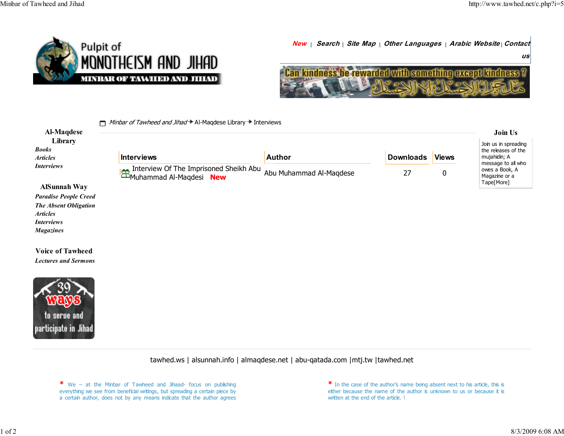

New  $\mid$  Search  $\mid$  Site Map  $\mid$  Other Languages  $\mid$  Arabic Website $\mid$  Contact





| <b>Al-Maqdese</b><br>Library<br><b>Books</b><br><b>Articles</b><br><b>Interviews</b> | Minbar of Tawheed and Jihad + Al-Maqdese Library + Interviews<br>n.                           |                                          |                        |                   | Join Us                                                                                                                            |
|--------------------------------------------------------------------------------------|-----------------------------------------------------------------------------------------------|------------------------------------------|------------------------|-------------------|------------------------------------------------------------------------------------------------------------------------------------|
|                                                                                      | <b>Interviews</b><br>Interview Of The Imprisoned Sheikh Abu<br>Muhammad Al-Maqdesi <b>New</b> | <b>Author</b><br>Abu Muhammad Al-Maqdese | <b>Downloads</b><br>27 | <b>Views</b><br>0 | Join us in spreading<br>the releases of the<br>mujahidin; A<br>message to all who<br>owes a Book, A<br>Magazine or a<br>Tape[More] |
|                                                                                      |                                                                                               |                                          |                        |                   |                                                                                                                                    |
| <b>Voice of Tawheed</b><br><b>Lectures and Sermons</b>                               |                                                                                               |                                          |                        |                   |                                                                                                                                    |
| to serve and<br>participate in Jihad                                                 |                                                                                               |                                          |                        |                   |                                                                                                                                    |

tawhed.ws | alsunnah.info | almaqdese.net | abu-qatada.com |mtj.tw |tawhed.net

\* We – at the Minbar of Tawheed and Jihaad- focus on publishing everything we see from beneficial writings, but spreading a certain piece by a certain author, does not by any means indicate that the author agrees

\* In the case of the author's name being absent next to his article, this is either because the name of the author is unknown to us or because it iswritten at the end of the article. !